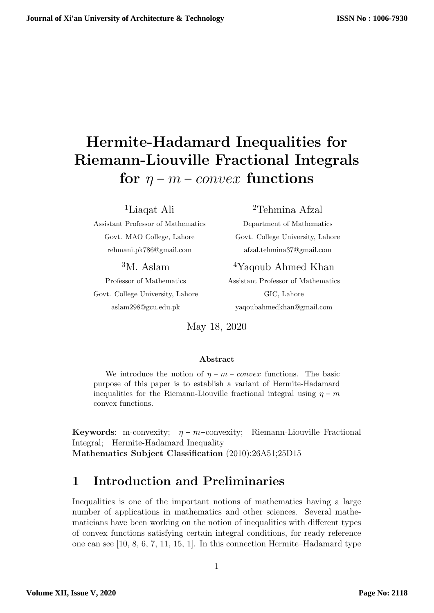# Hermite-Hadamard Inequalities for Riemann-Liouville Fractional Integrals for  $\eta$  –  $m$  – convex functions

<sup>1</sup>Liaqat Ali

Assistant Professor of Mathematics Govt. MAO College, Lahore rehmani.pk786@gmail.com

<sup>3</sup>M. Aslam

Professor of Mathematics Govt. College University, Lahore aslam298@gcu.edu.pk

<sup>2</sup>Tehmina Afzal

Department of Mathematics Govt. College University, Lahore afzal.tehmina37@gmail.com

#### <sup>4</sup>Yaqoub Ahmed Khan

Assistant Professor of Mathematics GIC, Lahore yaqoubahmedkhan@gmail.com

May 18, 2020

#### Abstract

We introduce the notion of  $\eta - m - convex$  functions. The basic purpose of this paper is to establish a variant of Hermite-Hadamard inequalities for the Riemann-Liouville fractional integral using  $\eta - m$ convex functions.

**Keywords:** m-convexity;  $\eta - m$ -convexity; Riemann-Liouville Fractional Integral; Hermite-Hadamard Inequality Mathematics Subject Classification (2010):26A51;25D15

# 1 Introduction and Preliminaries

Inequalities is one of the important notions of mathematics having a large number of applications in mathematics and other sciences. Several mathematicians have been working on the notion of inequalities with different types of convex functions satisfying certain integral conditions, for ready reference one can see [10, 8, 6, 7, 11, 15, 1]. In this connection Hermite–Hadamard type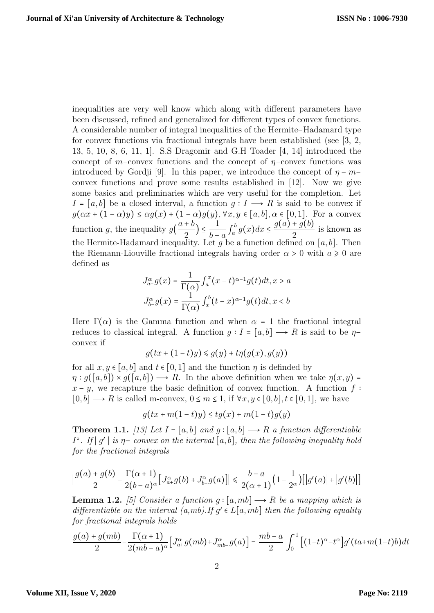inequalities are very well know which along with different parameters have been discussed, refined and generalized for different types of convex functions. A considerable number of integral inequalities of the Hermite−Hadamard type for convex functions via fractional integrals have been established (see [3, 2, 13, 5, 10, 8, 6, 11, 1]. S.S Dragomir and G.H Toader [4, 14] introduced the concept of m−convex functions and the concept of  $\eta$ −convex functions was introduced by Gordji [9]. In this paper, we introduce the concept of  $\eta - m$ convex functions and prove some results established in [12]. Now we give some basics and preliminaries which are very useful for the completion. Let  $I = [a, b]$  be a closed interval, a function  $g: I \longrightarrow R$  is said to be convex if  $g(\alpha x + (1 - \alpha)y) \leq \alpha g(x) + (1 - \alpha)g(y), \forall x, y \in [a, b], \alpha \in [0, 1].$  For a convex function g, the inequality  $g\left(\frac{a+b}{2}\right)$  $\frac{1}{2}$ )  $\le$ 1  $\frac{1}{b-a} \int_a^b$  $\int_a^b g(x)dx \leq \frac{g(a)+g(b)}{2}$ 2 is known as the Hermite-Hadamard inequality. Let  $\tilde{g}$  be a function defined on [a, b]. Then the Riemann-Liouville fractional integrals having order  $\alpha > 0$  with  $a \ge 0$  are defined as

$$
J_{a+}^{\alpha}g(x) = \frac{1}{\Gamma(\alpha)} \int_{a}^{x} (x - t)^{\alpha - 1} g(t) dt, x > a
$$

$$
J_{b-}^{\alpha}g(x) = \frac{1}{\Gamma(\alpha)} \int_{x}^{b} (t - x)^{\alpha - 1} g(t) dt, x < b
$$

Here  $\Gamma(\alpha)$  is the Gamma function and when  $\alpha = 1$  the fractional integral reduces to classical integral. A function  $g: I = [a, b] \longrightarrow R$  is said to be  $\eta$ convex if

$$
g(tx+(1-t)y) \leq g(y) + t\eta(g(x), g(y))
$$

for all  $x, y \in [a, b]$  and  $t \in [0, 1]$  and the function  $\eta$  is definded by  $\eta : g([a, b]) \times g([a, b]) \longrightarrow R$ . In the above definition when we take  $\eta(x, y) =$  $x - y$ , we recapture the basic definition of convex function. A function f:  $[0, b] \longrightarrow R$  is called m-convex,  $0 \leq m \leq 1$ , if  $\forall x, y \in [0, b], t \in [0, 1]$ , we have

 $g(tx + m(1-t)y) \leq tg(x) + m(1-t)g(y)$ 

**Theorem 1.1.** [13] Let  $I = [a, b]$  and  $g : [a, b] \longrightarrow R$  a function differentiable  $I^{\circ}$ . If  $|g'|$  is  $\eta$ -convex on the interval  $[a, b]$ , then the following inequality hold for the fractional integrals

$$
\left|\frac{g(a)+g(b)}{2}-\frac{\Gamma(\alpha+1)}{2(b-a)^{\alpha}}\Big[J_{a+}^{\alpha}g(b)+J_{b-}^{\alpha}g(a)\Big]\right|\leq \frac{b-a}{2(\alpha+1)}\Big(1-\frac{1}{2^{\alpha}}\Big)\Big[|g'(a)|+|g'(b)|\Big]
$$

**Lemma 1.2.** [5] Consider a function  $g : [a, mb] \rightarrow \mathbb{R}$  be a mapping which is differentiable on the interval  $(a, mb)$ . If  $g' \in L[a, mb]$  then the following equality for fractional integrals holds

$$
\frac{g(a)+g(mb)}{2} - \frac{\Gamma(\alpha+1)}{2(mb-a)^{\alpha}} \Big[ J_{a+}^{\alpha}g(mb) + J_{mb-}^{\alpha}g(a) \Big] = \frac{mb-a}{2} \int_0^1 \Big[ (1-t)^{\alpha} - t^{\alpha} \Big] g'(ta+m(1-t)b) dt
$$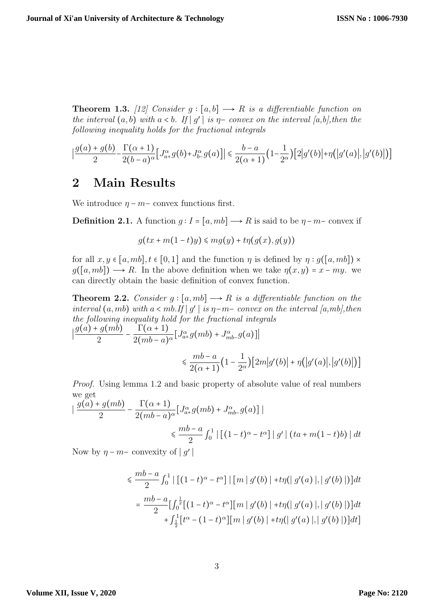**Theorem 1.3.** [12] Consider  $g : [a, b] \longrightarrow R$  is a differentiable function on the interval  $(a, b)$  with  $a < b$ . If  $|g'|$  is  $\eta$ -convex on the interval  $[a, b]$ , then the following inequality holds for the fractional integrals

$$
\Big|\frac{g(a)+g(b)}{2}-\frac{\Gamma(\alpha+1)}{2\big(b-a\big)^{\alpha}}\Big[J_{a+}^{\alpha}g(b)+J_{b-}^{\alpha}g(a)\Big]\Big|\leqslant \frac{b-a}{2\big(\alpha+1\big)}\Big(1-\frac{1}{2^{\alpha}}\Big)\Big[2\big|g'(b)\big|+\eta\big(\big|g'(a)\big|,\big|g'(b)\big|\big)\Big]
$$

## 2 Main Results

We introduce  $\eta - m -$  convex functions first.

**Definition 2.1.** A function  $g: I = [a, mb]$  → R is said to be  $\eta$  –  $m$ – convex if

$$
g(tx+m(1-t)y) \leq m g(y) + t\eta(g(x), g(y))
$$

for all  $x, y \in [a, mb], t \in [0, 1]$  and the function  $\eta$  is defined by  $\eta : g([a, mb]) \times$  $g([a, mb]) \rightarrow R$ . In the above definition when we take  $\eta(x, y) = x - my$ . we can directly obtain the basic definition of convex function.

**Theorem 2.2.** Consider  $g : [a, mb] \rightarrow R$  is a differentiable function on the interval  $(a, mb)$  with  $a < mb.H | g' |$  is  $\eta$ - $m$ -convex on the interval  $[a, mb],$ then the following inequality hold for the fractional integrals  $\left|\frac{g(a)+g(m b)}{2}\right|$  $\frac{1}{2} \cdot \frac{g(mb)}{2} - \frac{\Gamma(\alpha+1)}{2(mb-a)}$  $\frac{1}{2}(mb-a)^{\alpha}\big[J_{a+}^{\alpha}g(mb) + J_{mb-}^{\alpha}g(a)\big]\big]$  $\leqslant \frac{mb-a}{2(1-a+1)}$  $2(\alpha + 1)$  $\left(1 - \frac{1}{\alpha}\right)$  $\frac{1}{2^{\alpha}}\Big)\Big[2m|g'(b)|+\eta(|g'(a)|,|g'(b)|\Big)\Big]$ 

Proof. Using lemma 1.2 and basic property of absolute value of real numbers we get

$$
\left| \frac{g(a) + g(mb)}{2} - \frac{\Gamma(\alpha + 1)}{2(mb - a)^{\alpha}} \left[ J_{a+}^{\alpha} g(mb) + J_{mb-}^{\alpha} g(a) \right] \right|
$$
  
\$\leq \frac{mb - a}{2} \int\_0^1 \left| \left[ (1 - t)^{\alpha} - t^{\alpha} \right] \right| g' \left| \left( ta + m(1 - t)b \right) \right| dt

Now by  $\eta - m-$  convexity of  $|g'|$ 

$$
\leq \frac{mb-a}{2} \int_0^1 \left[ \left( 1-t \right)^\alpha - t^\alpha \right] \left[ \left[ m \mid g'(b) \mid + t\eta \right( \mid g'(a) \mid, \mid g'(b) \mid \right] \right] dt
$$
  

$$
= \frac{mb-a}{2} \Big[ \int_0^{\frac{1}{2}} \left[ (1-t)^\alpha - t^\alpha \right] \left[ m \mid g'(b) \mid + t\eta \right( \mid g'(a) \mid, \mid g'(b) \mid \right] dt
$$
  

$$
+ \int_{\frac{1}{2}}^1 \left[ t^\alpha - (1-t)^\alpha \right] \left[ m \mid g'(b) \mid + t\eta \right( \mid g'(a) \mid, \mid g'(b) \mid \right] dt
$$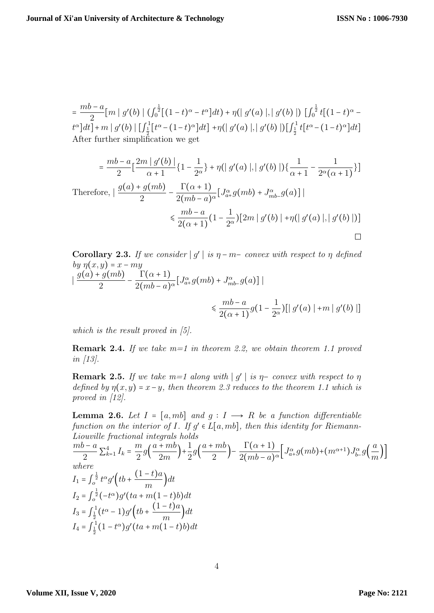$$
= \frac{mb-a}{2} [m | g'(b) | (\int_0^{\frac{1}{2}} [(1-t)^{\alpha} - t^{\alpha}] dt) + \eta (| g'(a) |, | g'(b) |) [\int_0^{\frac{1}{2}} t [(1-t)^{\alpha} - t^{\alpha}] dt] + m | g'(b) | [\int_{\frac{1}{2}}^1 [t^{\alpha} - (1-t)^{\alpha}] dt] + \eta (| g'(a) |, | g'(b) |) [\int_{\frac{1}{2}}^1 t [t^{\alpha} - (1-t)^{\alpha}] dt]
$$
  
After further simplification we get

$$
= \frac{mb - a}{2} \Big[ \frac{2m |g'(b)|}{\alpha + 1} \{1 - \frac{1}{2^{\alpha}}\} + \eta \Big(|g'(a)|, |g'(b)|\Big) \{ \frac{1}{\alpha + 1} - \frac{1}{2^{\alpha}(\alpha + 1)} \} \Big]
$$
  
Therefore, 
$$
\Big| \frac{g(a) + g(mb)}{2} - \frac{\Gamma(\alpha + 1)}{2(mb - a)^{\alpha}} [J_{a+}^{\alpha}g(mb) + J_{mb-}^{\alpha}g(a)] \Big|
$$

$$
\leq \frac{mb - a}{2(\alpha + 1)} \Big(1 - \frac{1}{2^{\alpha}}\Big) [2m |g'(b)| + \eta \Big(|g'(a)|, |g'(b)|\Big)\Big]
$$

Corollary 2.3. If we consider  $|g'|$  is  $\eta - m$  convex with respect to  $\eta$  defined by  $\eta(x, y) = x - my$  $\lfloor \frac{g(a)+g(mb)}{2} \rfloor$  $\frac{1}{2} \cdot \frac{g(mb)}{2} - \frac{\Gamma(\alpha+1)}{2(mb-a)}$  $\frac{1}{2(mb-a)^{\alpha}}[J^{\alpha}_{a+}g(mb)+J^{\alpha}_{mb-}g(a)]|$  $\leqslant \frac{mb-a}{2(a+1)}$  $2(\alpha+1)$  $g(1-\frac{1}{2c})$  $\frac{1}{2^{\alpha}}$ )[| g'(a) | +m | g'(b) |]

which is the result proved in [5].

**Remark 2.4.** If we take  $m=1$  in theorem 2.2, we obtain theorem 1.1 proved in [13].

**Remark 2.5.** If we take  $m=1$  along with  $|g'|$  is  $\eta$ - convex with respect to  $\eta$ defined by  $\eta(x, y) = x - y$ , then theorem 2.3 reduces to the theorem 1.1 which is proved in [12].

**Lemma 2.6.** Let  $I = [a, mb]$  and  $q: I \longrightarrow R$  be a function differentiable function on the interior of I. If  $g' \in L[a, mb]$ , then this identity for Riemann-Liouville fractional integrals holds

 $mb - a$  $\frac{m}{2}$   $\sum_{k=1}^{4} I_k = \frac{m}{2}$  $\frac{m}{2}g\left(\frac{a+mb}{2m}\right)$  $\frac{1}{2m}$  + 1  $\frac{1}{2}g\left(\frac{a+mb}{2}\right)$  $\left(\frac{mb}{2}\right) - \frac{\Gamma(\alpha+1)}{2(mb-a)}$  $\frac{\Gamma(\alpha+1)}{2(mb-a)^{\alpha}}\Big[J_{a+}^{\alpha}g(mb)+(m^{\alpha+1})J_{b-}^{\alpha}g\Big(\frac{a}{m}$  $\frac{1}{m}$ ) where  $I_1 = \int_0^{\frac{1}{2}} t^{\alpha} g' \left(t b + \frac{(1-t)a}{m}\right)$  $\frac{v}{m}$ )dt  $I_2 = \int_0^{\frac{1}{2}} (-t^{\alpha}) g'(ta + m(1-t)b) dt$  $I_3=\int_{\frac{1}{2}}^1(t^\alpha-1)g'\Big(tb+\frac{(1-t)a}{m}$  $\frac{v}{m}$ )dt  $I_4 = \int_{\frac{1}{2}}^{1} (1 - t^{\alpha}) g'(ta + m(1 - t)b) dt$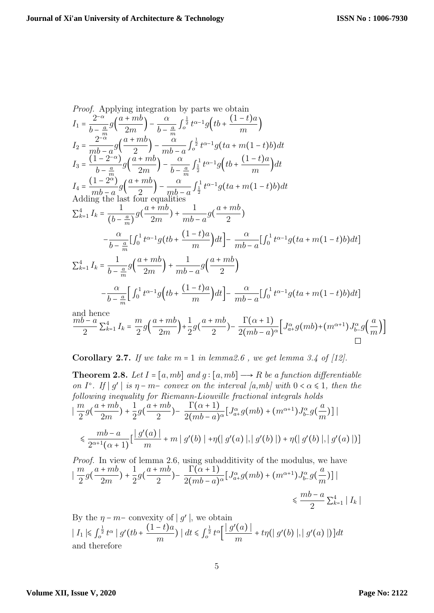*Proof.* Applying integration by parts we obtain  
\n
$$
I_{1} = \frac{2^{-\alpha}}{b - \frac{a}{m}} g\left(\frac{a + mb}{2m}\right) - \frac{\alpha}{b - \frac{a}{m}} \int_{0}^{\frac{1}{2}} t^{\alpha - 1} g\left(tb + \frac{(1 - t)a}{m}\right)
$$
\n
$$
I_{2} = \frac{2^{-\alpha}}{mb - a} g\left(\frac{a + mb}{2}\right) - \frac{\alpha}{mb - a} \int_{0}^{\frac{1}{2}} t^{\alpha - 1} g\left(ta + m(1 - t)b\right) dt
$$
\n
$$
I_{3} = \frac{(1 - 2^{-\alpha})}{b - \frac{a}{m}} g\left(\frac{a + mb}{2m}\right) - \frac{\alpha}{b - \frac{a}{m}} \int_{\frac{1}{2}}^{1} t^{\alpha - 1} g\left(tb + \frac{(1 - t)a}{m}\right) dt
$$
\n
$$
I_{4} = \frac{(1 - 2^{a})}{mb - a} g\left(\frac{a + mb}{2}\right) - \frac{\alpha}{mb - a} \int_{\frac{1}{2}}^{1} t^{\alpha - 1} g\left(ta + m(1 - t)b\right) dt
$$
\nAdding the last four equalities  
\n
$$
\sum_{k=1}^{4} I_{k} = \frac{1}{(b - \frac{a}{m})} g\left(\frac{a + mb}{2m}\right) + \frac{1}{mb - a} g\left(\frac{a + mb}{2}\right)
$$
\n
$$
- \frac{\alpha}{b - \frac{a}{m}} \left[\int_{0}^{1} t^{\alpha - 1} g\left(tb + \frac{(1 - t)a}{m}\right) dt\right] - \frac{\alpha}{mb - a} \left[\int_{0}^{1} t^{\alpha - 1} g\left(ta + m(1 - t)b\right) dt\right]
$$
\n
$$
\sum_{k=1}^{4} I_{k} = \frac{1}{b - \frac{a}{m}} g\left(\frac{a + mb}{2m}\right) + \frac{1}{mb - a} g\left(\frac{a + mb}{2}\right)
$$
\n
$$
- \frac{\alpha}{b - \frac{a}{m}} \left[\int_{0}^{1} t^{\alpha - 1} g\left(tb + \frac{(1 - t)a}{m}\right) dt\right] - \frac{\alpha}{mb - a} \left[\int_{0}^{1} t^{\alpha - 1}
$$

and hence  
\n
$$
\frac{mb-a}{2} \sum_{k=1}^{4} I_k = \frac{m}{2} g\left(\frac{a+mb}{2m}\right) + \frac{1}{2} g\left(\frac{a+mb}{2}\right) - \frac{\Gamma(\alpha+1)}{2(mb-a)^{\alpha}} \Big[ J_{a+}^{\alpha} g(mb) + (m^{\alpha+1}) J_{b-}^{\alpha} g\left(\frac{a}{m}\right) \Big]
$$

Corollary 2.7. If we take  $m = 1$  in lemma2.6, we get lemma 3.4 of [12].

**Theorem 2.8.** Let 
$$
I = [a, mb]
$$
 and  $g : [a, mb] \rightarrow R$  be a function differentiable  
on  $I^{\circ}$ . If  $|g'|$  is  $\eta - m$  - convex on the interval  $[a, mb]$  with  $0 < \alpha \le 1$ , then the  
following inequality for Riemann-Liouville fractional integrals holds  

$$
\left| \frac{m}{2} g(\frac{a+mb}{2m}) + \frac{1}{2} g(\frac{a+mb}{2}) - \frac{\Gamma(\alpha+1)}{2(mb-a)^{\alpha}} [J^{\alpha}_{a+} g(mb) + (m^{\alpha+1}) J^{\alpha}_{b-} g(\frac{a}{m})] \right|
$$

$$
\le \frac{mb-a}{2^{\alpha+1}(\alpha+1)} \left[ \frac{|g'(a)|}{m} + m |g'(b)| + \eta(|g'(a)|, |g'(b)|) + \eta(|g'(b)|, |g'(a)|) \right]
$$
Proof. In view of lemma 2.6, using subadditivity of the modulus, we have  
 $m = a + mb$ .  $1 = a + mb$ .  $\Gamma(\alpha + 1)$ 

∣ m  $\frac{m}{2}g(\frac{a+mb}{2m})$  $\frac{1}{2m}$ ) + 1  $\frac{1}{2}g\left(\frac{a+mb}{2}\right)$  $\frac{(2m b)}{2}$ ) –  $\frac{\Gamma(\alpha+1)}{2(m b - a)}$  $\frac{\Gamma(\alpha+1)}{2(mb-a)^{\alpha}}[J^{\alpha}_{a+}g(mb)+(m^{\alpha+1})J^{\alpha}_{b-}g(\frac{a}{m}$  $\frac{1}{m}$ )]|  $\leqslant \frac{mb-a}{2}$  $\frac{2^{j-k}}{2} \sum_{k=1}^{4} |I_k|$ 

By the  $\eta - m$  convexity of  $|g'|$ , we obtain  $|I_1| \leqslant \int_0^{\frac{1}{2}} t^{\alpha} |g'(tb + \frac{(1-t)a}{m})$  $\left(-\frac{t}{m}\right) \mid dt \leqslant \int_{o}^{\frac{1}{2}} t^{\alpha} \left[ \frac{|g'(a)|}{m} \right]$  $\frac{\sqrt{a}}{m}$  + tη(| g'(b) |,| g'(a) |)]dt and therefore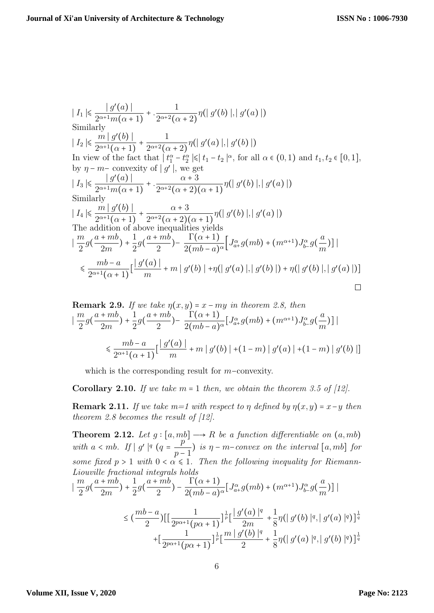$$
|I_{1}| \leq \frac{|g'(a)|}{2^{\alpha+1}m(\alpha+1)} + \frac{1}{2^{\alpha+2}(\alpha+2)}\eta(|g'(b)|, |g'(a)|)
$$
  
\nSimilarly  
\n
$$
|I_{2}| \leq \frac{m |g'(b)|}{2^{\alpha+1}(\alpha+1)} + \frac{1}{2^{\alpha+2}(\alpha+2)}\eta(|g'(a)|, |g'(b)|)
$$
  
\nIn view of the fact that  $|t_{1}^{\alpha} - t_{2}^{\alpha}| \leq |t_{1} - t_{2}|^{\alpha}$ , for all  $\alpha \in (0,1)$  and  $t_{1}, t_{2} \in [0,1]$ ,  
\nby  $\eta - m$ - convexity of  $|g'|$ , we get  
\n
$$
|I_{3}| \leq \frac{|g'(a)|}{2^{\alpha+1}m(\alpha+1)} + \frac{\alpha+3}{2^{\alpha+2}(\alpha+2)(\alpha+1)}\eta(|g'(b)|, |g'(a)|)
$$
  
\nSimilarly  
\nSimilarly  
\n
$$
|I_{4}| \leq \frac{m |g'(b)|}{2^{\alpha+1}(\alpha+1)} + \frac{\alpha+3}{2^{\alpha+2}(\alpha+2)(\alpha+1)}\eta(|g'(b)|, |g'(a)|)
$$
  
\nThe addition of above inequalities yields  
\n
$$
|\frac{m}{2}g(\frac{a+mb}{2m}) + \frac{1}{2}g(\frac{a+mb}{2}) - \frac{\Gamma(\alpha+1)}{2(mb-a)\alpha}[J_{a+}^{\alpha}g(mb) + (m^{\alpha+1})J_{b-}^{\alpha}g(\frac{a}{m})]
$$
  
\n
$$
\leq \frac{mb-a}{2^{\alpha+1}(\alpha+1)}[\frac{|g'(a)|}{m} + m |g'(b)| + \eta(|g'(a)|, |g'(b)|) + \eta(|g'(b)|, |g'(a)|)]
$$

**Remark 2.9.** If we take 
$$
\eta(x, y) = x - my
$$
 in theorem 2.8, then  
\n
$$
\left| \frac{m}{2} g(\frac{a+mb}{2m}) + \frac{1}{2} g(\frac{a+mb}{2}) - \frac{\Gamma(\alpha+1)}{2(mb-a)^{\alpha}} [J_{a+}^{\alpha} g(mb) + (m^{\alpha+1}) J_{b-}^{\alpha} g(\frac{a}{m})] \right|
$$
\n
$$
\leq \frac{mb-a}{2^{\alpha+1}(\alpha+1)} \left[ \frac{|g'(a)|}{m} + m |g'(b)| + (1-m) |g'(a)| + (1-m) |g'(b)| \right]
$$

which is the corresponding result for m−convexity.

**Corollary 2.10.** If we take  $m = 1$  then, we obtain the theorem 3.5 of [12].

**Remark 2.11.** If we take m=1 with respect to  $\eta$  defined by  $\eta(x, y) = x - y$  then theorem 2.8 becomes the result of  $[12]$ .

**Theorem 2.12.** Let  $g : [a, mb] \longrightarrow R$  be a function differentiable on  $(a, mb)$ with  $a < mb$ . If  $|g'|^q$   $(q = \frac{p}{q})$  $p-1$ ) is  $\eta$  – m–convex on the interval  $[a, mb]$  for some fixed  $p > 1$  with  $0 < \alpha \leq 1$ . Then the following inequality for Riemann-Liouville fractional integrals holds ∣ m  $\frac{m}{2}g(\frac{a+mb}{2m})$  $\frac{1}{2m}$ ) + 1  $\frac{1}{2}g\left(\frac{a+mb}{2}\right)$  $\frac{(2m b)}{2}$ ) –  $\frac{\Gamma(\alpha+1)}{2(m b - a)}$  $\frac{\Gamma(\alpha+1)}{2(mb-a)^{\alpha}}\big[J_{a+}^{\alpha}g(mb)+(m^{\alpha+1})J_{b-}^{\alpha}g(\frac{a}{m}$  $\frac{1}{m}$ )]|  $\leq (\frac{mb-a}{2})\Big[\Big[\frac{1}{2^{p(1)}(a)+1}\Big]^{\frac{1}{p}}\Big]^{\frac{1}{p}}\Big[\frac{|g'(a)|^q}{2^{pq}}+$  $\frac{1}{\circ}\eta(\mid g'(b)\mid^q,\mid g'(a)\mid^q)\big]^{\frac{1}{q}}$ 

$$
\begin{aligned} &\frac{1}{2} \left( \frac{1}{2p\alpha+1} \left( p\alpha+1 \right)^{\frac{1}{p}} \left[ \frac{1}{2p\alpha+1} \frac{1}{2p\alpha} + \frac{1}{8} \eta \left( \frac{g'(b)}{g} \right)^{\frac{q}{q}} \right] \right)^{\frac{1}{q}} \\ &\quad + \left[ \frac{1}{2p\alpha+1} \left( p\alpha+1 \right)^{\frac{1}{p}} \left[ \frac{m}{2} \frac{g'(b)}{2} \right]^{\frac{1}{q}} + \frac{1}{8} \eta \left( \frac{g'(a)}{g'(a)} \right)^{\frac{1}{q}} \right]^{\frac{1}{q}} \end{aligned}
$$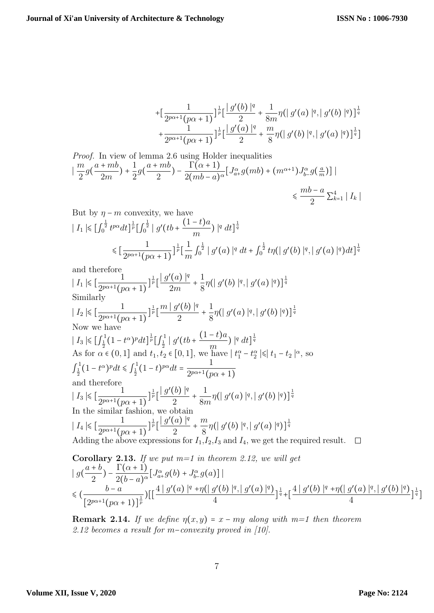$$
+ \left[\frac{1}{2^{p\alpha+1}(p\alpha+1)}\right]^{\frac{1}{p}} \left[\frac{|g'(b)|^q}{2} + \frac{1}{8m}\eta(|g'(a)|^q, |g'(b)|^q)\right]^{\frac{1}{q}} + \\ + \frac{1}{2^{p\alpha+1}(p\alpha+1)}\left[\frac{|g'(a)|^q}{2} + \frac{m}{8}\eta(|g'(b)|^q, |g'(a)|^q)\right]^{\frac{1}{q}}\right]
$$

*Proof.* In view of lemma 2.6 using Holder inequalities\n
$$
\left| \frac{m}{2} g\left(\frac{a+mb}{2m}\right) + \frac{1}{2} g\left(\frac{a+mb}{2}\right) - \frac{\Gamma(\alpha+1)}{2(mb-a)^{\alpha}} \left[ J_{a+}^{\alpha} g(mb) + \left(m^{\alpha+1}\right) J_{b-}^{\alpha} g\left(\frac{a}{m}\right) \right] \right|
$$
\n
$$
\leq \frac{mb-a}{2} \sum_{k=1}^{4} |I_k|
$$

But by 
$$
\eta - m
$$
 convexity, we have  
\n $|I_1| \leq \left[\int_0^{\frac{1}{2}} t^{p\alpha} dt\right]^{\frac{1}{p}} \left[\int_0^{\frac{1}{2}} |g'(tb + \frac{(1-t)a}{m})|^{q} dt\right]^{\frac{1}{q}}$   
\n $\leq \left[\frac{1}{2^{p\alpha+1}(p\alpha+1)}\right]^{\frac{1}{p}} \left[\frac{1}{m} \int_0^{\frac{1}{2}} |g'(a)|^{q} dt + \int_0^{\frac{1}{2}} t \eta(|g'(b)|^{q}, |g'(a)|^{q}) dt\right]^{\frac{1}{q}}$ 

and therefore

$$
|I_{1}| \leq \left[\frac{1}{2^{p\alpha+1}(p\alpha+1)}\right]^{\frac{1}{p}}\left[\frac{|g'(a)|^{q}}{2m} + \frac{1}{8}\eta(|g'(b)|^{q}, |g'(a)|^{q})\right]^{\frac{1}{q}}
$$
  
\nSimilarly  
\n
$$
|I_{2}| \leq \left[\frac{1}{2^{p\alpha+1}(p\alpha+1)}\right]^{\frac{1}{p}}\left[\frac{m|g'(b)|^{q}}{2} + \frac{1}{8}\eta(|g'(a)|^{q}, |g'(b)|^{q})\right]^{\frac{1}{q}}
$$
  
\nNow we have  
\n
$$
|I_{3}| \leq \left[\int_{\frac{1}{2}}^{1}(1-t^{\alpha})^{p}dt\right]^{\frac{1}{p}}\left[\int_{\frac{1}{2}}^{1}|g'(tb + \frac{(1-t)a}{m})|^{q} dt\right]^{\frac{1}{q}}
$$
  
\nAs for  $\alpha \in (0,1]$  and  $t_{1}, t_{2} \in [0,1]$ , we have  $|t_{1}^{\alpha} - t_{2}^{\alpha}| \leq |t_{1} - t_{2}|^{\alpha}$ , so  
\n
$$
\int_{\frac{1}{2}}^{1}(1-t^{\alpha})^{p}dt \leq \int_{\frac{1}{2}}^{1}(1-t)^{p\alpha}dt = \frac{1}{2^{p\alpha+1}(p\alpha+1)}
$$
  
\nand therefore  
\n
$$
|I_{3}| \leq \left[\frac{1}{2^{p\alpha+1}(p\alpha+1)}\right]^{\frac{1}{p}}\left[\frac{|g'(b)|^{q}}{2} + \frac{1}{8m}\eta(|g'(a)|^{q}, |g'(b)|^{q})\right]^{\frac{1}{q}}
$$
  
\nIn the similar fashion, we obtain  
\n
$$
|I_{4}| \leq \left[\frac{1}{2^{p\alpha+1}(p\alpha+1)}\right]^{\frac{1}{p}}\left[\frac{|g'(a)|^{q}}{2} + \frac{m}{8}\eta(|g'(b)|^{q}, |g'(a)|^{q})\right]^{\frac{1}{q}}
$$
  
\nAdding the above expressions for  $I_{1}, I_{2}, I_{3}$  and  $I_{4}$ , we get the required result.

**Corollary 2.13.** If we put 
$$
m=1
$$
 in theorem 2.12, we will get  
\n
$$
|g(\frac{a+b}{2}) - \frac{\Gamma(\alpha+1)}{2(b-a)^{\alpha}} [J_{a+}^{\alpha} g(b) + J_{b-}^{\alpha} g(a)]|
$$
\n
$$
\leq (\frac{b-a}{[2^{p\alpha+1}(p\alpha+1)]^{\frac{1}{p}}}) [[\frac{4|g'(a)|^q + \eta(|g'(b)|^q, |g'(a)|^q)}{4}]^{\frac{1}{q}} + [\frac{4|g'(b)|^q + \eta(|g'(a)|^q, |g'(b)|^q)}{4}]^{\frac{1}{q}}]
$$

**Remark 2.14.** If we define  $\eta(x, y) = x - my$  along with m=1 then theorem 2.12 becomes a result for m-convexity proved in [10].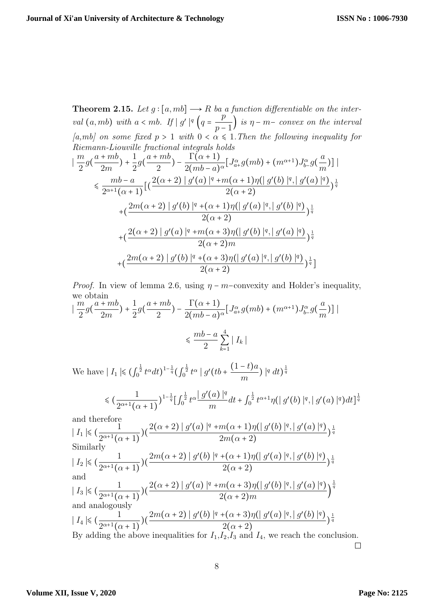**Theorem 2.15.** Let  $g : [a, mb] \rightarrow R$  ba a function differentiable on the interval  $(a, mb)$  with  $a < mb$ . If  $|g'|^q (q = \frac{p}{q})$  $p-1$ ) is  $\eta - m - \text{ convex on the interval}$ [a,mb] on some fixed  $p > 1$  with  $0 < \alpha \leq 1$ . Then the following inequality for Riemann-Liouville fractional integrals holds ∣ m  $\frac{m}{2}g(\frac{a+mb}{2m})$  $\frac{1}{2m}$ ) + 1  $\frac{1}{2}g\left(\frac{a+mb}{2}\right)$  $\frac{(2m b)}{2}$ ) –  $\frac{\Gamma(\alpha+1)}{2(m b - a)}$  $\frac{\Gamma(\alpha+1)}{2(mb-a)^{\alpha}}[J^{\alpha}_{a+}g(mb)+(m^{\alpha+1})J^{\alpha}_{b-}g(\frac{a}{m}$  $\frac{1}{m}$ )]|  $\leqslant \frac{mb-a}{2\alpha+1}$  $2^{\alpha+1}(\alpha+1)$  $\left[ \left( \frac{2(\alpha+2) \mid g'(a) \mid^q + m(\alpha+1) \eta \left( \mid g'(b) \mid^q, \mid g'(a) \mid^q \right)}{2(\alpha+2)} \right] \right]$  $\frac{2(\alpha+1)\eta(|g'(b)|^q,|g'(a)|^q)}{2(\alpha+2)}\Big)^{\frac{1}{q}}$  $+\left(\frac{2m(\alpha+2) \mid g'(b)\mid^q + (\alpha+1)\eta(\mid g'(a)\mid^q, \mid g'(b)\mid^q)}{2(\alpha+2)}\right)$  $\frac{P(\alpha+1)\eta(|g'(a)|^q, |g'(b)|^q)}{2(\alpha+2)}\big)^{\frac{1}{q}}$  $+\left(\frac{2(\alpha+2) |g'(a)|^q+m(\alpha+3)\eta(|g'(b)|^q,|g'(a)|^q)}{2(\alpha+2)w}\right)$  $\frac{m(\alpha+3)\eta(\mid g^{\prime}\left( b\right) \mid^q,\mid g^{\prime}\left( a\right) \mid^q)}{2(\alpha+2)m}$  $+\left(\frac{2m(\alpha+2) \mid g'(b)\mid^q + (\alpha+3)\eta(\mid g'(a)\mid^q, \mid g'(b)\mid^q)}{2(\alpha+2)}\right)$  $\frac{1}{2(\alpha+2)}\frac{\eta(|g'(a)|^q, |g'(b)|^q)}{2(\alpha+2)}\big)^{\frac{1}{q}}$ 

*Proof.* In view of lemma 2.6, using  $\eta$  –  $m$ –convexity and Holder's inequality, we obtain

$$
\frac{m}{2}g\left(\frac{a+mb}{2m}\right) + \frac{1}{2}g\left(\frac{a+mb}{2}\right) - \frac{\Gamma(\alpha+1)}{2(mb-a)^{\alpha}}[J_{a+}^{\alpha}g(mb) + (m^{\alpha+1})J_{b-}^{\alpha}g(\frac{a}{m})] |
$$
  

$$
m b - a \cdot \frac{4}{m}
$$

$$
\leqslant \frac{mb-a}{2} \sum_{k=1}^{4} |I_k|
$$

We have  $|I_1| \leq (\int_0^{\frac{1}{2}} t^{\alpha} dt)^{1-\frac{1}{q}} (\int_0^{\frac{1}{2}} t^{\alpha} | g'(tb + \frac{(1-t)a}{m})$  $\frac{-t}{m}$ ) |q dt) $\frac{1}{q}$ 

$$
\leqslant \big(\frac{1}{2^{\alpha+1}(\alpha+1)}\big)^{1-\frac{1}{q}}\big[\int_0^{\frac{1}{2}}t^{\alpha}\frac{\big|g'(a)\big|^q}{m}dt+\int_0^{\frac{1}{2}}t^{\alpha+1}\eta\big(\big|g'(b)\big|^q,|g'(a)\big|^q\big)dt\big]^{\frac{1}{q}}
$$

and therefore  $\int \left( \frac{2(\alpha+2) |g'(a)|^q + m(\alpha+1)\eta(|g'(b)|^q, |g'(a)|^q)}{2m(\alpha+2)} \right)$  $|I_1| \leqslant \left(\frac{1}{2\alpha+1}\right)$  $\frac{m(\alpha+1)\eta(\mid g^{\prime}\left( b\right) \mid^q,\mid g^{\prime}\left( a\right) \mid^q)}{2m(\alpha+2)}\big)^{\frac{1}{q}}$  $2^{\alpha+1}(\alpha+1)$ Similarly  $|I_2| \leqslant (\frac{1}{2\alpha+1}$  $\int \frac{2m(\alpha+2) |g'(b)|^q + (\alpha+1)\eta(|g'(a)|^q, |g'(b)|^q)}{2(\alpha+2)}$  $\frac{P(\alpha+1)\eta(|g'(a)|^q, |g'(b)|^q)}{2(\alpha+2)}\big)^{\frac{1}{q}}$  $2^{\alpha+1}(\alpha+1)$ and  $\frac{1}{q}$  $|I_3| \leqslant (\frac{1}{2\alpha+1}$  $\int \left( \frac{2(\alpha+2) |g'(a)|^q + m(\alpha+3)\eta(|g'(b)|^q, |g'(a)|^q)}{2(\alpha+2) m}\right)$  $\frac{2(\alpha+2)m}{m}$  $2^{\alpha+1}(\alpha+1)$ and analogously  $\int \frac{2m(\alpha+2) |g'(b)|^q + (\alpha+3)\eta(|g'(a)|^q, |g'(b)|^q)}{2(\alpha+3)}$  $|I_4| \leqslant (\frac{1}{2\alpha+1}$  $\frac{P(\alpha+3)\eta(|g'(a)|^q, |g'(b)|^q)}{2(\alpha+2)}\Big)^{\frac{1}{q}}$  $2^{\alpha+1}(\alpha+1)$ By adding the above inequalities for  $I_1, I_2, I_3$  and  $I_4$ , we reach the conclusion.  $\Box$ 

8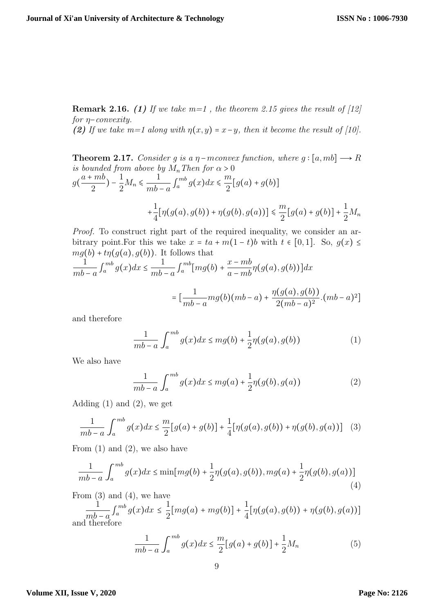**Remark 2.16.** (1) If we take  $m=1$ , the theorem 2.15 gives the result of [12]  $for \eta$ -convexity.

(2) If we take m=1 along with  $\eta(x, y) = x - y$ , then it become the result of [10].

**Theorem 2.17.** Consider g is a  $\eta$  – mconvex function, where  $g : [a, mb] \rightarrow R$ is bounded from above by  $M_n$  Then for  $\alpha > 0$  $g\left(\frac{a+mb}{2}\right)$  $\frac{1}{2}$ ) – 1  $\frac{1}{2}M_n \leqslant \frac{1}{mb}$ .  $\frac{1}{mb-a}\int_a^{mb}$  $\int_a^{mb} g(x)dx \leqslant \frac{m}{2}$  $\frac{n}{2}[g(a)+g(b)]$ + 1  $\frac{1}{4} [\eta(g(a),g(b)) + \eta(g(b),g(a))] \leq \frac{m}{2}$  $\frac{m}{2}[g(a)+g(b)]+\frac{1}{2}$  $\frac{1}{2}M_n$ 

Proof. To construct right part of the required inequality, we consider an arbitrary point. For this we take  $x = ta + m(1-t)b$  with  $t \in [0,1]$ . So,  $g(x) \le$  $mg(b) + t\eta(g(a), g(b))$ . It follows that 1  $\frac{1}{mb-a}\int_a^{mb}$  $\int_a^{mb} g(x)dx \leq \frac{1}{mh}$ 

$$
g(x)dx \le \frac{1}{mb-a} \int_a^{mb} [mg(b) + \frac{x - mb}{a - mb} \eta(g(a), g(b))]dx
$$
  
=  $\left[ \frac{1}{mb-a} mg(b)(mb-a) + \frac{\eta(g(a), g(b))}{2(mb-a)^2} \right] (mb-a)^2$ 

and therefore

$$
\frac{1}{mb-a} \int_{a}^{mb} g(x)dx \le mg(b) + \frac{1}{2}\eta(g(a),g(b))\tag{1}
$$

We also have

$$
\frac{1}{mb-a} \int_{a}^{mb} g(x)dx \le mg(a) + \frac{1}{2}\eta(g(b), g(a))\tag{2}
$$

Adding  $(1)$  and  $(2)$ , we get

$$
\frac{1}{mb-a} \int_{a}^{mb} g(x)dx \leq \frac{m}{2} [g(a) + g(b)] + \frac{1}{4} [\eta(g(a), g(b)) + \eta(g(b), g(a))]
$$
(3)

From  $(1)$  and  $(2)$ , we also have

$$
\frac{1}{mb-a} \int_{a}^{mb} g(x)dx \le \min[mg(b) + \frac{1}{2}\eta(g(a), g(b)), mg(a) + \frac{1}{2}\eta(g(b), g(a))]
$$
\n(4)

From  $(3)$  and  $(4)$ , we have

$$
\frac{1}{mb-a} \int_a^{mb} g(x)dx \le \frac{1}{2} [mg(a) + mg(b)] + \frac{1}{4} [\eta(g(a), g(b)) + \eta(g(b), g(a))]
$$
  
and therefore

$$
\frac{1}{mb-a} \int_{a}^{mb} g(x)dx \leq \frac{m}{2} [g(a) + g(b)] + \frac{1}{2} M_n \tag{5}
$$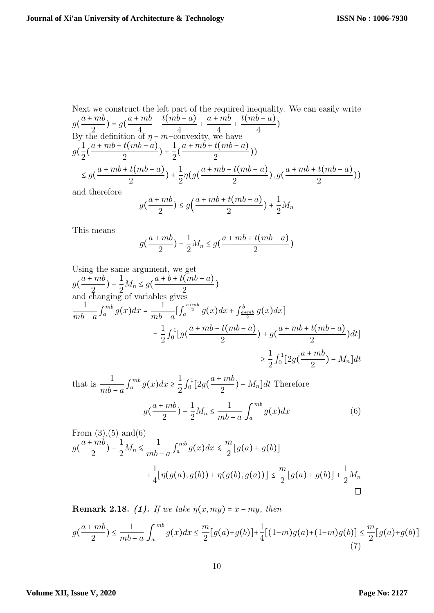Next we construct the left part of the required inequality. We can easily write\n
$$
g\left(\frac{a+mb}{2}\right) = g\left(\frac{a+mb}{4} - \frac{t(mb-a)}{4} + \frac{a+mb}{4} + \frac{t(mb-a)}{4}\right)
$$
\nBy the definition of  $\eta - m$ -convexity, we have\n
$$
g\left(\frac{1}{2}\left(\frac{a+mb-t(mb-a)}{2}\right) + \frac{1}{2}\left(\frac{a+mb+t(mb-a)}{2}\right)\right)
$$
\n
$$
\leq g\left(\frac{a+mb+t(mb-a)}{2}\right) + \frac{1}{2}\eta\left(g\left(\frac{a+mb-t(mb-a)}{2}\right), g\left(\frac{a+mb+t(mb-a)}{2}\right)\right)
$$
\nand therefore

a therefore

$$
g\left(\frac{a+mb}{2}\right) \le g\left(\frac{a+mb+t(mb-a)}{2}\right) + \frac{1}{2}M_n
$$

This means

$$
g\left(\frac{a+mb}{2}\right) - \frac{1}{2}M_n \le g\left(\frac{a+mb+t(mb-a)}{2}\right)
$$

Using the same argument, we get  
\n
$$
g\left(\frac{a+mb}{2}\right) - \frac{1}{2}M_n \le g\left(\frac{a+b+t(mb-a)}{2}\right)
$$
\nand changing of variables gives\n
$$
\frac{1}{mb-a} \int_a^{mb} g(x)dx = \frac{1}{mb-a} \Big[ \int_a^{\frac{a+mb}{2}} g(x)dx + \int_{\frac{a+mb}{2}}^b g(x)dx \Big]
$$
\n
$$
= \frac{1}{2} \int_0^1 \Big[ g\left(\frac{a+mb-t(mb-a)}{2}\right) + g\left(\frac{a+mb+t(mb-a)}{2}\right)dt \Big]
$$
\n
$$
\ge \frac{1}{2} \int_0^1 \Big[ 2g\left(\frac{a+mb}{2}\right) - M_n \Big] dt
$$

that is  $\frac{1}{1}$  $rac{1}{mb-a} \int_a^{mb}$  $\int_a^{mb} g(x)dx \geq \frac{1}{2}$  $\frac{1}{2} \int_0^1$  $\int_0^1 [2g(\frac{a+mb}{2})]$  $\frac{m}{2}$ ) –  $M_n$ ]dt Therefore  $g\left(\frac{a+mb}{2}\right)$  $\frac{1}{2}$ ) – 1  $\frac{1}{2}M_n \leq \frac{1}{mb}$ .  $\overline{mb-a}$  J  $_{mb}$  $\int_a$  g(x)dx (6)

From (3),(5) and (6)  
\n
$$
g(\frac{a+mb}{2}) - \frac{1}{2}M_n \le \frac{1}{mb-a} \int_a^{mb} g(x)dx \le \frac{m}{2}[g(a) + g(b)] + \frac{1}{4}[\eta(g(a), g(b)) + \eta(g(b), g(a))] \le \frac{m}{2}[g(a) + g(b)] + \frac{1}{2}M_n
$$

Remark 2.18. (1). If we take  $\eta(x, my) = x - my$ , then

$$
g\left(\frac{a+mb}{2}\right) \le \frac{1}{mb-a} \int_a^{mb} g(x)dx \le \frac{m}{2} [g(a)+g(b)] + \frac{1}{4} [(1-m)g(a)+(1-m)g(b)] \le \frac{m}{2} [g(a)+g(b)]
$$
\n(7)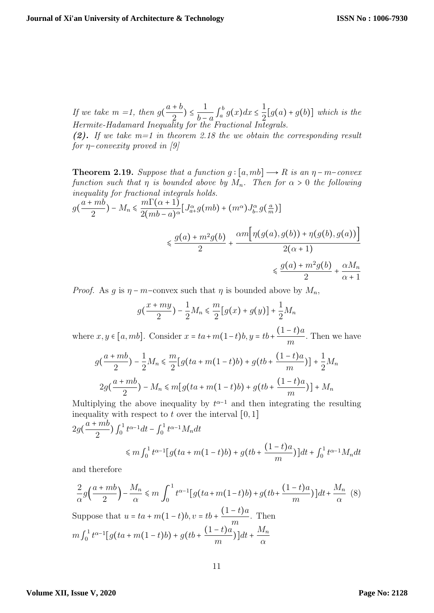If we take  $m = 1$ , then  $g(\frac{a+b}{2})$  $\frac{1}{2}$ )  $\le$ 1  $\frac{1}{b-a} \int_a^b$  $\int_a^b g(x)dx \leq \frac{1}{2}$  $\frac{1}{2}[g(a)+g(b)]$  which is the Hermite-Hadamard Inequality for the Fractional Integrals.

(2). If we take  $m=1$  in theorem 2.18 the we obtain the corresponding result for  $\eta$ -convexity proved in [9]

**Theorem 2.19.** Suppose that a function  $g : [a, mb] \rightarrow R$  is an  $\eta$  –  $m$ –convex function such that  $\eta$  is bounded above by  $M_n$ . Then for  $\alpha > 0$  the following inequality for fractional integrals holds.

$$
g\left(\frac{a+mb}{2}\right) - M_n \leq \frac{m\Gamma(\alpha+1)}{2(mb-a)^{\alpha}} \left[J_{a+}^{\alpha}g(mb) + (m^{\alpha})J_{b-}^{\alpha}g\left(\frac{a}{m}\right)\right]
$$
  

$$
\leq \frac{g(a) + m^2g(b)}{2} + \frac{\alpha m\left[\eta(g(a),g(b)) + \eta(g(b),g(a))\right]}{2(\alpha+1)}
$$
  

$$
\leq \frac{g(a) + m^2g(b)}{2} + \frac{\alpha M_n}{\alpha+1}
$$

*Proof.* As g is  $\eta$  –  $m$ –convex such that  $\eta$  is bounded above by  $M_n$ ,

$$
g(\frac{x+my}{2}) - \frac{1}{2}M_n \leq \frac{m}{2}[g(x) + g(y)] + \frac{1}{2}M_n
$$

where  $x, y \in [a, mb]$ . Consider  $x = ta + m(1-t)b$ ,  $y = tb + \frac{(1-t)a}{m}$ m . Then we have

$$
g\left(\frac{a+mb}{2}\right) - \frac{1}{2}M_n \leq \frac{m}{2}[g(ta+m(1-t)b) + g(tb + \frac{(1-t)a}{m})] + \frac{1}{2}M_n
$$
  

$$
2g\left(\frac{a+mb}{2}\right) - M_n \leq m[g(ta+m(1-t)b) + g(tb + \frac{(1-t)a}{m})] + M_n
$$

Multiplying the above inequality by  $t^{\alpha-1}$  and then integrating the resulting inequality with respect to  $t$  over the interval  $[0, 1]$  $2g(\frac{a+mb}{2})$  $\frac{1}{2}$  )  $\int_0^1$  $\int_0^1 t^{\alpha-1} dt - \int_0^1$  $\int_0^1 t^{\alpha-1} M_n dt$ 

$$
\leq m \int_0^1 t^{\alpha-1} [g(ta+m(1-t)b) + g(tb + \frac{(1-t)a}{m})] dt + \int_0^1 t^{\alpha-1} M_n dt
$$

and therefore

$$
\frac{2}{\alpha}g\left(\frac{a+mb}{2}\right) - \frac{M_n}{\alpha} \le m \int_0^1 t^{\alpha-1}[g(ta+m(1-t)b) + g(tb + \frac{(1-t)a}{m})]dt + \frac{M_n}{\alpha} (8)
$$
  
Suppose that  $u = ta + m(1-t)b, v = tb + \frac{(1-t)a}{m}$ . Then  

$$
m \int_0^1 t^{\alpha-1}[g(ta+m(1-t)b) + g(tb + \frac{(1-t)a}{m})]dt + \frac{M_n}{\alpha}
$$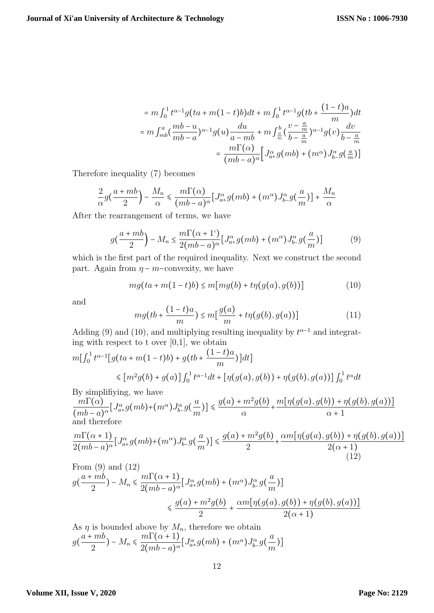$$
= m \int_0^1 t^{\alpha-1} g(ta+m(1-t)b) dt + m \int_0^1 t^{\alpha-1} g(tb+\frac{(1-t)a}{m}) dt
$$
  

$$
= m \int_{mb}^a (\frac{mb-u}{mb-a})^{\alpha-1} g(u) \frac{du}{a-mb} + m \int_{\frac{a}{m}}^b (\frac{v-\frac{a}{m}}{b-\frac{a}{m}})^{\alpha-1} g(v) \frac{dv}{b-\frac{a}{m}}
$$
  

$$
= \frac{m\Gamma(\alpha)}{(mb-a)^{\alpha}} \Big[ J_{a+}^{\alpha} g(mb) + (m^{\alpha}) J_{b-}^{\alpha} g(\frac{a}{m}) \Big]
$$

Therefore inequality (7) becomes

$$
\frac{2}{\alpha}g\left(\frac{a+mb}{2}\right) - \frac{M_n}{\alpha} \leq \frac{m\Gamma(\alpha)}{(mb-a)^\alpha} \big[ J_{a+}^\alpha g(mb) + (m^\alpha)J_{b-}^\alpha g\left(\frac{a}{m}\right) \big] + \frac{M_n}{\alpha}
$$

After the rearrangement of terms, we have

$$
g\left(\frac{a+mb}{2}\right) - M_n \le \frac{m\Gamma(\alpha+1)}{2(mb-a)^\alpha} \left[J_{a+}^\alpha g(mb) + (m^\alpha)J_{b-}^\alpha g\left(\frac{a}{m}\right)\right] \tag{9}
$$

which is the first part of the required inequality. Next we construct the second part. Again from  $\eta$  –  $m$ –convexity, we have

$$
mg(ta + m(1-t)b) \le m[mg(b) + t\eta(g(a), g(b))]
$$
 (10)

and

$$
mg(tb + \frac{(1-t)a}{m}) \le m\left[\frac{g(a)}{m} + t\eta(g(b), g(a))\right]
$$
 (11)

Adding (9) and (10), and multiplying resulting inequality by  $t^{\alpha-1}$  and integrating with respect to t over  $[0,1]$ , we obtain

$$
m[f_0^{1} t^{\alpha-1}[g(ta + m(1-t)b) + g(tb + \frac{(1-t)a}{m})]dt]
$$
  
\$\leq [m^2 g(b) + g(a)] \int\_0^1 t^{\alpha-1} dt + [\eta(g(a), g(b)) + \eta(g(b), g(a))] \int\_0^1 t^{\alpha} dt

By simplifiying, we have

$$
\frac{m\Gamma(\alpha)}{(mb-a)^{\alpha}}[J_{a+}^{\alpha}g(mb)+(m^{\alpha})J_{b-}^{\alpha}g(\frac{a}{m})] \leq \frac{g(a)+m^2g(b)}{\alpha}+\frac{m[\eta(g(a),g(b))+\eta(g(b),g(a))]}{\alpha+1}
$$
  
and therefore

$$
\frac{m\Gamma(\alpha+1)}{2(mb-a)^{\alpha}}[J_{a+}^{\alpha}g(mb)+(m^{\alpha})J_{b-}^{\alpha}g(\frac{a}{m})] \leq \frac{g(a)+m^{2}g(b)}{2}+\frac{\alpha m[\eta(g(a),g(b))+\eta(g(b),g(a))]}{2(\alpha+1)}
$$
\n(12)

From (9) and (12)  
\n
$$
g(\frac{a+mb}{2}) - M_n \le \frac{m\Gamma(\alpha+1)}{2(mb-a)^{\alpha}} [J_{a+}^{\alpha}g(mb) + (m^{\alpha})J_{b-}^{\alpha}g(\frac{a}{m})]
$$
\n
$$
\le \frac{g(a) + m^2g(b)}{2} + \frac{\alpha m[\eta(g(a),g(b)) + \eta(g(b),g(a))]}{2(\alpha+1)}
$$

As  $\eta$  is bounded above by  $M_n$ , therefore we obtain  $g\left(\frac{a+mb}{2}\right)$  $\frac{(2m b)}{2}$ ) –  $M_n \leq \frac{m \Gamma(\alpha + 1)}{2(m b - a)^{\alpha}}$  $\frac{m\Gamma(\alpha+1)}{2(mb-a)^{\alpha}}[J^{\alpha}_{a+}g(mb)+(m^{\alpha})J^{\alpha}_{b-}g(\frac{a}{m}$  $\frac{1}{m}$ )]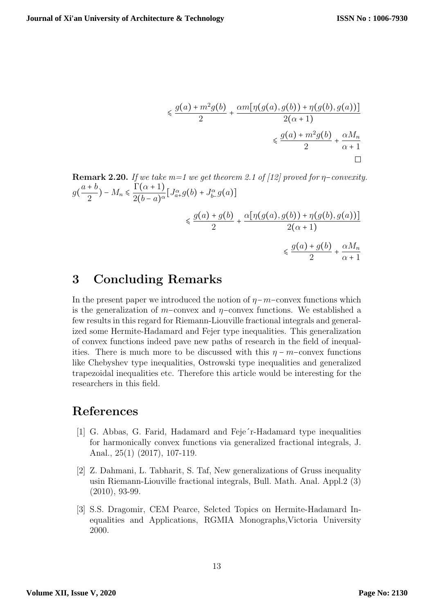$$
\leq \frac{g(a) + m^2 g(b)}{2} + \frac{\alpha m[\eta(g(a), g(b)) + \eta(g(b), g(a))]}{2(\alpha + 1)}
$$

$$
\leq \frac{g(a) + m^2 g(b)}{2} + \frac{\alpha M_n}{\alpha + 1}
$$

 $\frac{3(1)}{2}$  +

 $\alpha + 1$ 

**Remark 2.20.** If we take 
$$
m=1
$$
 we get theorem 2.1 of [12] proved for  $\eta$ -convexity.  
\n
$$
g(\frac{a+b}{2}) - M_n \leq \frac{\Gamma(\alpha+1)}{2(b-a)^{\alpha}} [J_{a+}^{\alpha} g(b) + J_{b-}^{\alpha} g(a)]
$$
\n
$$
\leq \frac{g(a) + g(b)}{2} + \frac{\alpha[\eta(g(a), g(b)) + \eta(g(b), g(a))]}{2(\alpha+1)}
$$
\n
$$
\leq \frac{g(a) + g(b)}{2} + \frac{\alpha M_n}{2}
$$

# 3 Concluding Remarks

In the present paper we introduced the notion of  $\eta$  –m−convex functions which is the generalization of m−convex and  $\eta$ −convex functions. We established a few results in this regard for Riemann-Liouville fractional integrals and generalized some Hermite-Hadamard and Fejer type inequalities. This generalization of convex functions indeed pave new paths of research in the field of inequalities. There is much more to be discussed with this  $\eta - m$ –convex functions like Chebyshev type inequalities, Ostrowski type inequalities and generalized trapezoidal inequalities etc. Therefore this article would be interesting for the researchers in this field.

## References

- [1] G. Abbas, G. Farid, Hadamard and Feje´r-Hadamard type inequalities for harmonically convex functions via generalized fractional integrals, J. Anal., 25(1) (2017), 107-119.
- [2] Z. Dahmani, L. Tabharit, S. Taf, New generalizations of Gruss inequality usin Riemann-Liouville fractional integrals, Bull. Math. Anal. Appl.2 (3) (2010), 93-99.
- [3] S.S. Dragomir, CEM Pearce, Selcted Topics on Hermite-Hadamard Inequalities and Applications, RGMIA Monographs,Victoria University 2000.